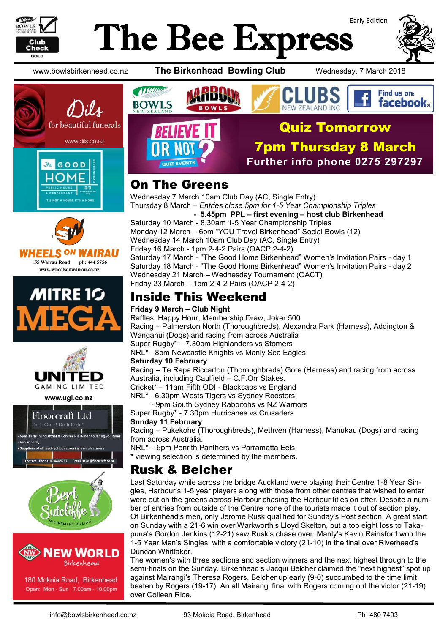

# Early Edition The Bee Express



Find us on: facebook.

www.bowlsbirkenhead.co.nz **The Birkenhead Bowling Club** Wednesday, 7 March 2018









www.ugl.co.nz







180 Mokoia Road, Birkenhead Open: Mon - Sun 7.00am - 10.00pm



# On The Greens

Wednesday 7 March 10am Club Day (AC, Single Entry) Thursday 8 March – *Entries close 5pm for 1-5 Year Championship Triples*

 **- 5.45pm PPL – first evening – host club Birkenhead** Saturday 10 March - 8.30am 1-5 Year Championship Triples Monday 12 March – 6pm "YOU Travel Birkenhead" Social Bowls (12) Wednesday 14 March 10am Club Day (AC, Single Entry) Friday 16 March - 1pm 2-4-2 Pairs (OACP 2-4-2) Saturday 17 March - "The Good Home Birkenhead" Women's Invitation Pairs - day 1 Saturday 18 March - "The Good Home Birkenhead" Women's Invitation Pairs - day 2 Wednesday 21 March – Wednesday Tournament (OACT) Friday 23 March – 1pm 2-4-2 Pairs (OACP 2-4-2)

# Inside This Weekend

#### **Friday 9 March – Club Night**

Raffles, Happy Hour, Membership Draw, Joker 500 Racing – Palmerston North (Thoroughbreds), Alexandra Park (Harness), Addington & Wanganui (Dogs) and racing from across Australia Super Rugby\* – 7.30pm Highlanders vs Stomers NRL\* - 8pm Newcastle Knights vs Manly Sea Eagles **Saturday 10 February**

Racing – Te Rapa Riccarton (Thoroughbreds) Gore (Harness) and racing from across Australia, including Caulfield – C.F.Orr Stakes.

Cricket\* – 11am Fifth ODI - Blackcaps vs England NRL\* - 6.30pm Wests Tigers vs Sydney Roosters

- 9pm South Sydney Rabbitohs vs NZ Warriors

Super Rugby\* - 7.30pm Hurricanes vs Crusaders

#### **Sunday 11 February**

Racing – Pukekohe (Thoroughbreds), Methven (Harness), Manukau (Dogs) and racing from across Australia.

NRL\* – 6pm Penrith Panthers vs Parramatta Eels

\* viewing selection is determined by the members.

## Rusk & Belcher

Last Saturday while across the bridge Auckland were playing their Centre 1-8 Year Singles, Harbour's 1-5 year players along with those from other centres that wished to enter were out on the greens across Harbour chasing the Harbour titles on offer. Despite a number of entries from outside of the Centre none of the tourists made it out of section play. Of Birkenhead's men, only Jerome Rusk qualified for Sunday's Post section. A great start on Sunday with a 21-6 win over Warkworth's Lloyd Skelton, but a top eight loss to Takapuna's Gordon Jenkins (12-21) saw Rusk's chase over. Manly's Kevin Rainsford won the 1-5 Year Men's Singles, with a comfortable victory (21-10) in the final over Riverhead's Duncan Whittaker.

The women's with three sections and section winners and the next highest through to the semi-finals on the Sunday. Birkenhead's Jacqui Belcher claimed the "next highest" spot up against Mairangi's Theresa Rogers. Belcher up early (9-0) succumbed to the time limit beaten by Rogers (19-17). An all Mairangi final with Rogers coming out the victor (21-19) over Colleen Rice.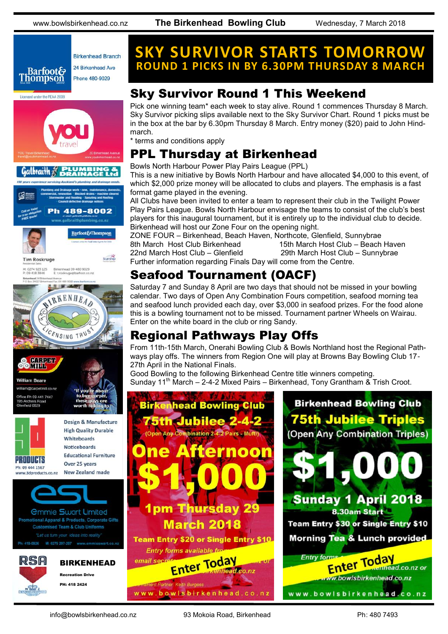www.bowlsbirkenhead.co.nz **The Birkenhead Bowling Club** Wednesday, 7 March 2018







Recreation Drive PH: 418 2424

N C.O.

# **SKY SURVIVOR STARTS TOMORROW ROUND 1 PICKS IN BY 6.30PM THURSDAY 8 MARCH**

## Sky Survivor Round 1 This Weekend

Pick one winning team\* each week to stay alive. Round 1 commences Thursday 8 March. Sky Survivor picking slips available next to the Sky Survivor Chart. Round 1 picks must be in the box at the bar by 6.30pm Thursday 8 March. Entry money (\$20) paid to John Hindmarch.

\* terms and conditions apply

# PPL Thursday at Birkenhead

Bowls North Harbour Power Play Pairs League (PPL)

This is a new initiative by Bowls North Harbour and have allocated \$4,000 to this event, of which \$2,000 prize money will be allocated to clubs and players. The emphasis is a fast format game played in the evening.

All Clubs have been invited to enter a team to represent their club in the Twilight Power Play Pairs League. Bowls North Harbour envisage the teams to consist of the club's best players for this inaugural tournament, but it is entirely up to the individual club to decide. Birkenhead will host our Zone Four on the opening night.

ZONE FOUR – Birkenhead, Beach Haven, Northcote, Glenfield, Sunnybrae 8th March Host Club Birkenhead 15th March Host Club – Beach Haven 22nd March Host Club – Glenfield 29th March Host Club – Sunnybrae Further information regarding Finals Day will come from the Centre.

# Seafood Tournament (OACF)

Saturday 7 and Sunday 8 April are two days that should not be missed in your bowling calendar. Two days of Open Any Combination Fours competition, seafood morning tea and seafood lunch provided each day, over \$3,000 in seafood prizes. For the food alone this is a bowling tournament not to be missed. Tournament partner Wheels on Wairau. Enter on the white board in the club or ring Sandy.

# Regional Pathways Play Offs

From 11th-15th March, Onerahi Bowling Club & Bowls Northland host the Regional Pathways play offs. The winners from Region One will play at Browns Bay Bowling Club 17- 27th April in the National Finals.

Good Bowling to the following Birkenhead Centre title winners competing. Sunday 11<sup>th</sup> March – 2-4-2 Mixed Pairs – Birkenhead, Tony Grantham & Trish Croot.

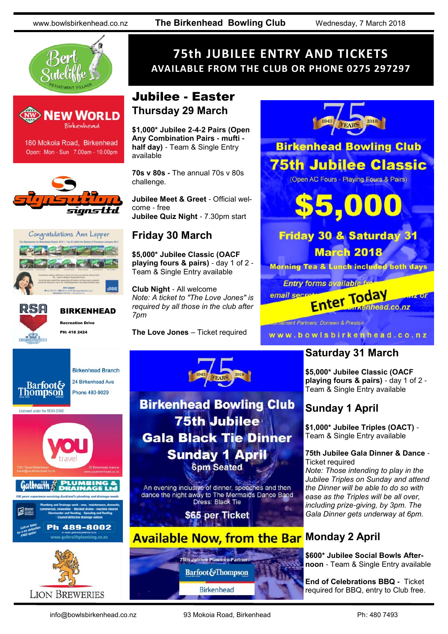www.bowlsbirkenhead.co.nz **The Birkenhead Bowling Club** Wednesday, 7 March 2018





180 Mokoia Road, Birkenhead Open: Mon - Sun 7.00am - 10.00pm







# BIRKENHEAD

**Birkenhead Branch** 

24 Birkenhead Ave

Recreation Drive PH: 418 2424



## Jubilee - Easter **Thursday 29 March**

**\$1,000\* Jubilee 2-4-2 Pairs (Open Any Combination Pairs - mufti half day)** - Team & Single Entry available

**70s v 80s -** The annual 70s v 80s challenge.

**Jubilee Meet & Greet** - Official welcome - free **Jubilee Quiz Night** - 7.30pm start

## **Friday 30 March**

**\$5,000\* Jubilee Classic (OACF playing fours & pairs)** - day 1 of 2 - Team & Single Entry available

**Club Night** - All welcome *Note: A ticket to "The Love Jones" is required by all those in the club after 7pm*

**The Love Jones** – Ticket required

2018

**Birkenhead Bowling Club** 

**75th Jubilee** 

**Gala Black Tie Dinner** 

**Sunday 1 April 6pm Seated** 

An evening inclusive of dinner, speeches and then dance the night away to The Mermaids Dance Band<br>Dress: Black Tie

\$65 per Ticket

75th Jubilee Platinum Partne **Barfoot&Thompson** 

**Birkenhead** 



**Infament Partners: Dorreen & Preston** 

### www.bowlsbirkenhead.co.nz

## **Saturday 31 March**

**\$5,000\* Jubilee Classic (OACF playing fours & pairs)** - day 1 of 2 - Team & Single Entry available

## **Sunday 1 April**

**\$1,000\* Jubilee Triples (OACT)** - Team & Single Entry available

#### **75th Jubilee Gala Dinner & Dance** - Ticket required

*Note: Those intending to play in the Jubilee Triples on Sunday and attend the Dinner will be able to do so with ease as the Triples will be all over, including prize-giving, by 3pm. The Gala Dinner gets underway at 6pm.*

#### **Available Now, from the Bar Monday 2 April**

 $\bullet$ 

**\$600\* Jubilee Social Bowls Afternoon** - Team & Single Entry available

**End of Celebrations BBQ -** Ticket required for BBQ, entry to Club free.











info@bowlsbirkenhead.co.nz 93 Mokoia Road, Birkenhead Ph: 480 7493